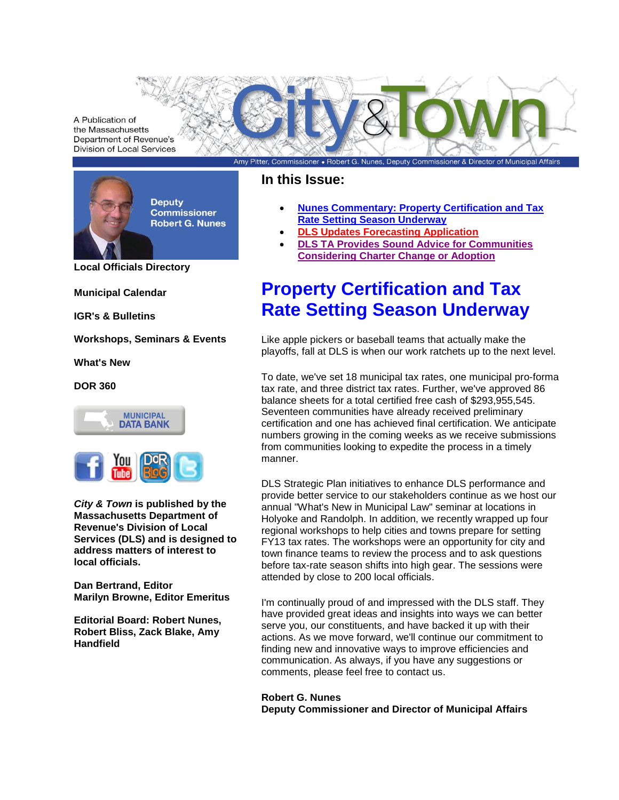A Publication of the Massachusetts Department of Revenue's **Division of Local Services** 



**[Local Officials Directory](http://dls-listserver.dor.state.ma.us/t/28993/42598/321/2/)**

**[Municipal Calendar](http://dls-listserver.dor.state.ma.us/t/28993/42598/4802/3/)**

**[IGR's](http://dls-listserver.dor.state.ma.us/t/28993/42598/4803/4/) & [Bulletins](http://dls-listserver.dor.state.ma.us/t/28993/42598/4804/5/)**

**[Workshops, Seminars & Events](http://dls-listserver.dor.state.ma.us/t/28993/42598/1755/6/)**

**[What's New](http://dls-listserver.dor.state.ma.us/t/28993/42598/4805/1001/)**

**[DOR 360](http://dls-listserver.dor.state.ma.us/t/28993/42598/5825/1002/)**



*City & Town* **is published by the Massachusetts Department of Revenue's Division of Local Services (DLS) and is designed to address matters of interest to local officials.**

**Dan Bertrand, Editor Marilyn Browne, Editor Emeritus**

**Editorial Board: Robert Nunes, Robert Bliss, Zack Blake, Amy Handfield**

### **In this Issue:**

 **[Nunes Commentary: Property Certification and Tax](#page-0-0)  [Rate Setting Season Underway](#page-0-0)**

Amy Pitter, Commissioner • Robert G. Nunes, Deputy Commissioner & Director of Municipal Affairs

- **[DLS Updates Forecasting Application](#page-1-0)**
- **[DLS TA Provides Sound Advice for Communities](#page-1-1)  [Considering Charter Change or Adoption](#page-1-1)**

# <span id="page-0-0"></span>**Property Certification and Tax Rate Setting Season Underway**

Like apple pickers or baseball teams that actually make the playoffs, fall at DLS is when our work ratchets up to the next level.

To date, we've set 18 municipal tax rates, one municipal pro-forma tax rate, and three district tax rates. Further, we've approved 86 balance sheets for a total certified free cash of \$293,955,545. Seventeen communities have already received preliminary certification and one has achieved final certification. We anticipate numbers growing in the coming weeks as we receive submissions from communities looking to expedite the process in a timely manner.

DLS Strategic Plan initiatives to enhance DLS performance and provide better service to our stakeholders continue as we host our annual "What's New in Municipal Law" seminar at locations in Holyoke and Randolph. In addition, we recently wrapped up four regional workshops to help cities and towns prepare for setting FY13 tax rates. The workshops were an opportunity for city and town finance teams to review the process and to ask questions before tax-rate season shifts into high gear. The sessions were attended by close to 200 local officials.

I'm continually proud of and impressed with the DLS staff. They have provided great ideas and insights into ways we can better serve you, our constituents, and have backed it up with their actions. As we move forward, we'll continue our commitment to finding new and innovative ways to improve efficiencies and communication. As always, if you have any suggestions or comments, please feel free to contact us.

**Robert G. Nunes Deputy Commissioner and Director of Municipal Affair[s](mailto:Nunesr@dor.state.ma.us)**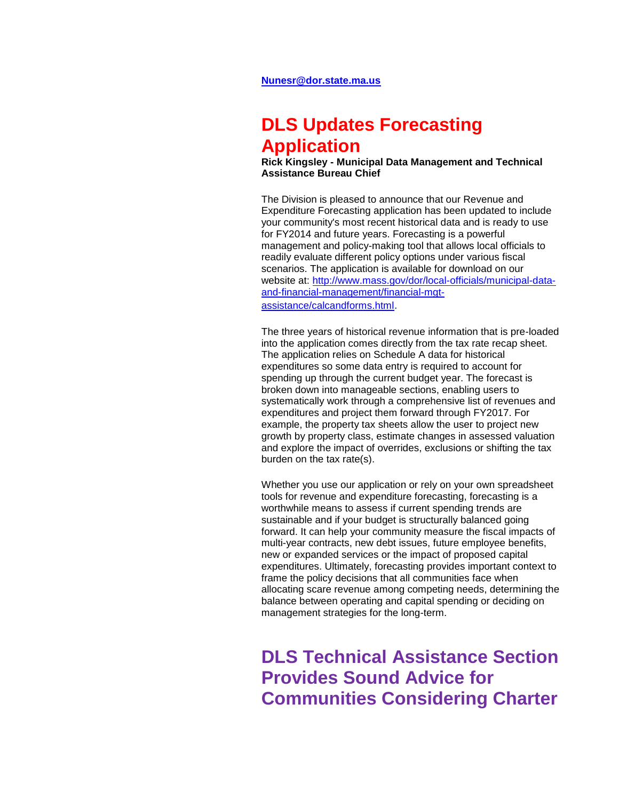## <span id="page-1-0"></span>**DLS Updates Forecasting Application**

**Rick Kingsley - Municipal Data Management and Technical Assistance Bureau Chief**

The Division is pleased to announce that our Revenue and Expenditure Forecasting application has been updated to include your community's most recent historical data and is ready to use for FY2014 and future years. Forecasting is a powerful management and policy-making tool that allows local officials to readily evaluate different policy options under various fiscal scenarios. The application is available for download on our website at: [http://www.mass.gov/dor/local-officials/municipal-data](http://dls-listserver.dor.state.ma.us/t/28993/42598/6831/2001/)[and-financial-management/financial-mgt](http://dls-listserver.dor.state.ma.us/t/28993/42598/6831/2001/)[assistance/calcandforms.html](http://dls-listserver.dor.state.ma.us/t/28993/42598/6831/2001/).

The three years of historical revenue information that is pre-loaded into the application comes directly from the tax rate recap sheet. The application relies on Schedule A data for historical expenditures so some data entry is required to account for spending up through the current budget year. The forecast is broken down into manageable sections, enabling users to systematically work through a comprehensive list of revenues and expenditures and project them forward through FY2017. For example, the property tax sheets allow the user to project new growth by property class, estimate changes in assessed valuation and explore the impact of overrides, exclusions or shifting the tax burden on the tax rate(s).

Whether you use our application or rely on your own spreadsheet tools for revenue and expenditure forecasting, forecasting is a worthwhile means to assess if current spending trends are sustainable and if your budget is structurally balanced going forward. It can help your community measure the fiscal impacts of multi-year contracts, new debt issues, future employee benefits, new or expanded services or the impact of proposed capital expenditures. Ultimately, forecasting provides important context to frame the policy decisions that all communities face when allocating scare revenue among competing needs, determining the balance between operating and capital spending or deciding on management strategies for the long-term.

<span id="page-1-1"></span>**DLS Technical Assistance Section Provides Sound Advice for Communities Considering Charter**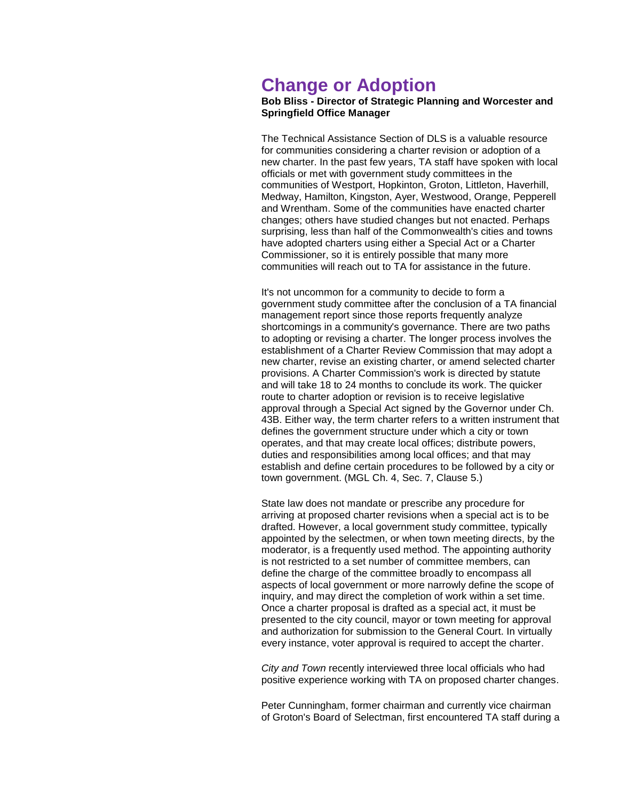## **Change or Adoption**

#### **Bob Bliss - Director of Strategic Planning and Worcester and Springfield Office Manager**

The Technical Assistance Section of DLS is a valuable resource for communities considering a charter revision or adoption of a new charter. In the past few years, TA staff have spoken with local officials or met with government study committees in the communities of Westport, Hopkinton, Groton, Littleton, Haverhill, Medway, Hamilton, Kingston, Ayer, Westwood, Orange, Pepperell and Wrentham. Some of the communities have enacted charter changes; others have studied changes but not enacted. Perhaps surprising, less than half of the Commonwealth's cities and towns have adopted charters using either a Special Act or a Charter Commissioner, so it is entirely possible that many more communities will reach out to TA for assistance in the future.

It's not uncommon for a community to decide to form a government study committee after the conclusion of a TA financial management report since those reports frequently analyze shortcomings in a community's governance. There are two paths to adopting or revising a charter. The longer process involves the establishment of a Charter Review Commission that may adopt a new charter, revise an existing charter, or amend selected charter provisions. A Charter Commission's work is directed by statute and will take 18 to 24 months to conclude its work. The quicker route to charter adoption or revision is to receive legislative approval through a Special Act signed by the Governor under Ch. 43B. Either way, the term charter refers to a written instrument that defines the government structure under which a city or town operates, and that may create local offices; distribute powers, duties and responsibilities among local offices; and that may establish and define certain procedures to be followed by a city or town government. (MGL Ch. 4, Sec. 7, Clause 5.)

State law does not mandate or prescribe any procedure for arriving at proposed charter revisions when a special act is to be drafted. However, a local government study committee, typically appointed by the selectmen, or when town meeting directs, by the moderator, is a frequently used method. The appointing authority is not restricted to a set number of committee members, can define the charge of the committee broadly to encompass all aspects of local government or more narrowly define the scope of inquiry, and may direct the completion of work within a set time. Once a charter proposal is drafted as a special act, it must be presented to the city council, mayor or town meeting for approval and authorization for submission to the General Court. In virtually every instance, voter approval is required to accept the charter.

*City and Town* recently interviewed three local officials who had positive experience working with TA on proposed charter changes.

Peter Cunningham, former chairman and currently vice chairman of Groton's Board of Selectman, first encountered TA staff during a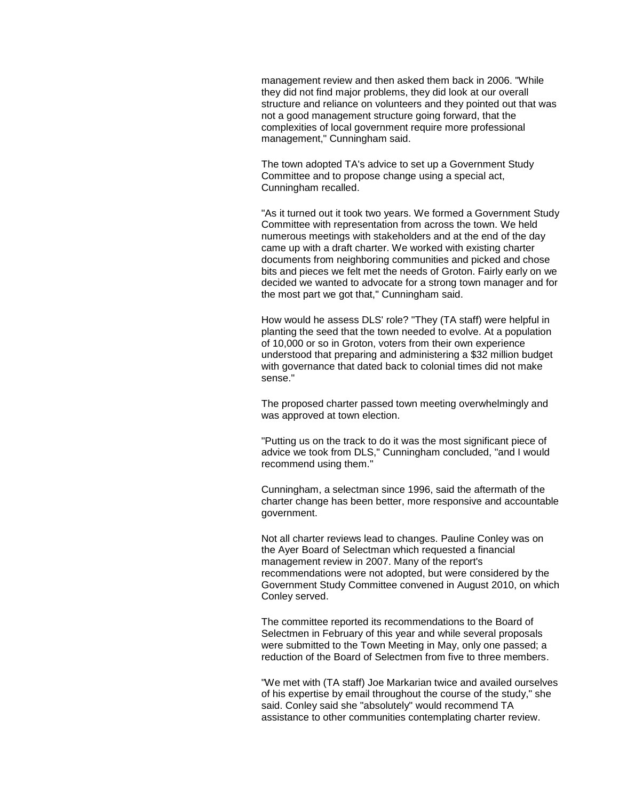management review and then asked them back in 2006. "While they did not find major problems, they did look at our overall structure and reliance on volunteers and they pointed out that was not a good management structure going forward, that the complexities of local government require more professional management," Cunningham said.

The town adopted TA's advice to set up a Government Study Committee and to propose change using a special act, Cunningham recalled.

"As it turned out it took two years. We formed a Government Study Committee with representation from across the town. We held numerous meetings with stakeholders and at the end of the day came up with a draft charter. We worked with existing charter documents from neighboring communities and picked and chose bits and pieces we felt met the needs of Groton. Fairly early on we decided we wanted to advocate for a strong town manager and for the most part we got that," Cunningham said.

How would he assess DLS' role? "They (TA staff) were helpful in planting the seed that the town needed to evolve. At a population of 10,000 or so in Groton, voters from their own experience understood that preparing and administering a \$32 million budget with governance that dated back to colonial times did not make sense."

The proposed charter passed town meeting overwhelmingly and was approved at town election.

"Putting us on the track to do it was the most significant piece of advice we took from DLS," Cunningham concluded, "and I would recommend using them."

Cunningham, a selectman since 1996, said the aftermath of the charter change has been better, more responsive and accountable government.

Not all charter reviews lead to changes. Pauline Conley was on the Ayer Board of Selectman which requested a financial management review in 2007. Many of the report's recommendations were not adopted, but were considered by the Government Study Committee convened in August 2010, on which Conley served.

The committee reported its recommendations to the Board of Selectmen in February of this year and while several proposals were submitted to the Town Meeting in May, only one passed; a reduction of the Board of Selectmen from five to three members.

"We met with (TA staff) Joe Markarian twice and availed ourselves of his expertise by email throughout the course of the study," she said. Conley said she "absolutely" would recommend TA assistance to other communities contemplating charter review.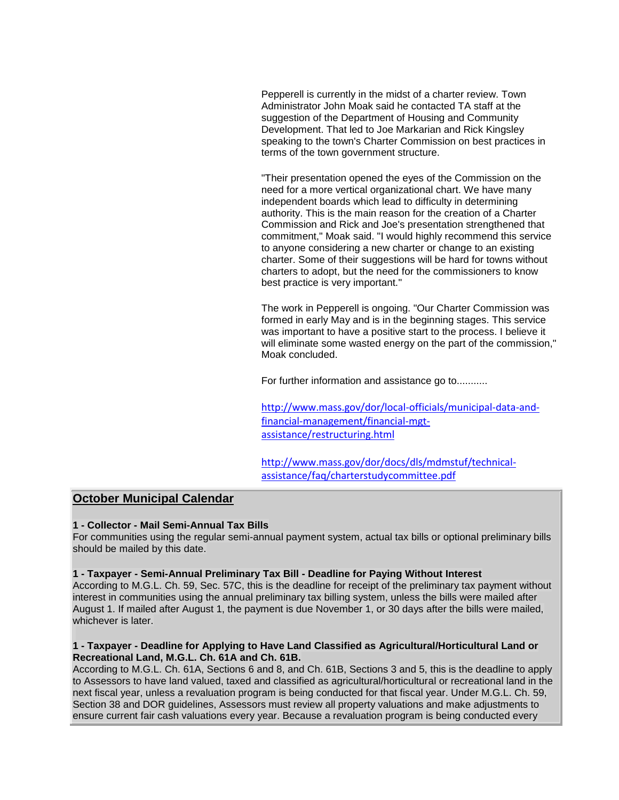Pepperell is currently in the midst of a charter review. Town Administrator John Moak said he contacted TA staff at the suggestion of the Department of Housing and Community Development. That led to Joe Markarian and Rick Kingsley speaking to the town's Charter Commission on best practices in terms of the town government structure.

"Their presentation opened the eyes of the Commission on the need for a more vertical organizational chart. We have many independent boards which lead to difficulty in determining authority. This is the main reason for the creation of a Charter Commission and Rick and Joe's presentation strengthened that commitment," Moak said. "I would highly recommend this service to anyone considering a new charter or change to an existing charter. Some of their suggestions will be hard for towns without charters to adopt, but the need for the commissioners to know best practice is very important."

The work in Pepperell is ongoing. "Our Charter Commission was formed in early May and is in the beginning stages. This service was important to have a positive start to the process. I believe it will eliminate some wasted energy on the part of the commission," Moak concluded.

For further information and assistance go to...........

[http://www.mass.gov/dor/local-officials/municipal-data-and](http://dls-listserver.dor.state.ma.us/t/28993/42598/6832/2002/)[financial-management/financial-mgt](http://dls-listserver.dor.state.ma.us/t/28993/42598/6832/2002/)[assistance/restructuring.html](http://dls-listserver.dor.state.ma.us/t/28993/42598/6832/2002/)

[http://www.mass.gov/dor/docs/dls/mdmstuf/technical](http://dls-listserver.dor.state.ma.us/t/28993/42598/6833/2003/)[assistance/faq/charterstudycommittee.pdf](http://dls-listserver.dor.state.ma.us/t/28993/42598/6833/2003/)

#### **October Municipal Calendar**

#### **1 - Collector - Mail Semi-Annual Tax Bills**

For communities using the regular semi-annual payment system, actual tax bills or optional preliminary bills should be mailed by this date.

#### **1 - Taxpayer - Semi-Annual Preliminary Tax Bill - Deadline for Paying Without Interest**

According to M.G.L. Ch. 59, Sec. 57C, this is the deadline for receipt of the preliminary tax payment without interest in communities using the annual preliminary tax billing system, unless the bills were mailed after August 1. If mailed after August 1, the payment is due November 1, or 30 days after the bills were mailed, whichever is later.

#### **1 - Taxpayer - Deadline for Applying to Have Land Classified as Agricultural/Horticultural Land or Recreational Land, M.G.L. Ch. 61A and Ch. 61B.**

According to M.G.L. Ch. 61A, Sections 6 and 8, and Ch. 61B, Sections 3 and 5, this is the deadline to apply to Assessors to have land valued, taxed and classified as agricultural/horticultural or recreational land in the next fiscal year, unless a revaluation program is being conducted for that fiscal year. Under M.G.L. Ch. 59, Section 38 and DOR guidelines, Assessors must review all property valuations and make adjustments to ensure current fair cash valuations every year. Because a revaluation program is being conducted every